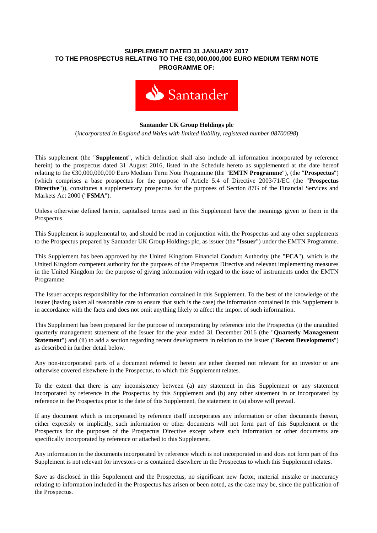## **SUPPLEMENT DATED 31 JANUARY 2017 TO THE PROSPECTUS RELATING TO THE €30,000,000,000 EURO MEDIUM TERM NOTE PROGRAMME OF:**



### **Santander UK Group Holdings plc**

(*incorporated in England and Wales with limited liability, registered number 08700698*)

This supplement (the "**Supplement**", which definition shall also include all information incorporated by reference herein) to the prospectus dated 31 August 2016, listed in the Schedule hereto as supplemented at the date hereof relating to the €30,000,000,000 Euro Medium Term Note Programme (the "**EMTN Programme**"), (the "**Prospectus**") (which comprises a base prospectus for the purpose of Article 5.4 of Directive 2003/71/EC (the "**Prospectus Directive**")), constitutes a supplementary prospectus for the purposes of Section 87G of the Financial Services and Markets Act 2000 ("**FSMA**").

Unless otherwise defined herein, capitalised terms used in this Supplement have the meanings given to them in the Prospectus.

This Supplement is supplemental to, and should be read in conjunction with, the Prospectus and any other supplements to the Prospectus prepared by Santander UK Group Holdings plc, as issuer (the "**Issuer**") under the EMTN Programme.

This Supplement has been approved by the United Kingdom Financial Conduct Authority (the "**FCA**"), which is the United Kingdom competent authority for the purposes of the Prospectus Directive and relevant implementing measures in the United Kingdom for the purpose of giving information with regard to the issue of instruments under the EMTN Programme.

The Issuer accepts responsibility for the information contained in this Supplement. To the best of the knowledge of the Issuer (having taken all reasonable care to ensure that such is the case) the information contained in this Supplement is in accordance with the facts and does not omit anything likely to affect the import of such information.

This Supplement has been prepared for the purpose of incorporating by reference into the Prospectus (i) the unaudited quarterly management statement of the Issuer for the year ended 31 December 2016 (the "**Quarterly Management Statement**") and (ii) to add a section regarding recent developments in relation to the Issuer ("**Recent Developments**") as described in further detail below.

Any non-incorporated parts of a document referred to herein are either deemed not relevant for an investor or are otherwise covered elsewhere in the Prospectus, to which this Supplement relates.

To the extent that there is any inconsistency between (a) any statement in this Supplement or any statement incorporated by reference in the Prospectus by this Supplement and (b) any other statement in or incorporated by reference in the Prospectus prior to the date of this Supplement, the statement in (a) above will prevail.

If any document which is incorporated by reference itself incorporates any information or other documents therein, either expressly or implicitly, such information or other documents will not form part of this Supplement or the Prospectus for the purposes of the Prospectus Directive except where such information or other documents are specifically incorporated by reference or attached to this Supplement.

Any information in the documents incorporated by reference which is not incorporated in and does not form part of this Supplement is not relevant for investors or is contained elsewhere in the Prospectus to which this Supplement relates.

Save as disclosed in this Supplement and the Prospectus, no significant new factor, material mistake or inaccuracy relating to information included in the Prospectus has arisen or been noted, as the case may be, since the publication of the Prospectus.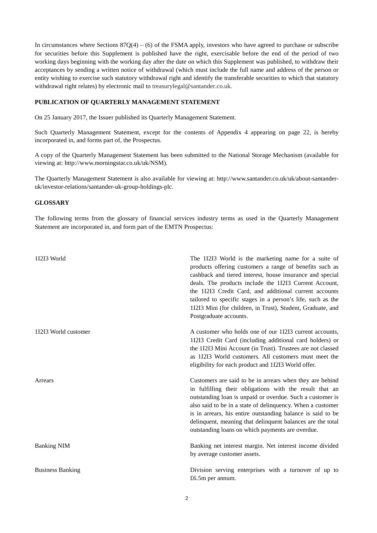In circumstances where Sections  $87Q(4) - (6)$  of the FSMA apply, investors who have agreed to purchase or subscribe for securities before this Supplement is published have the right, exercisable before the end of the period of two working days beginning with the working day after the date on which this Supplement was published, to withdraw their acceptances by sending a written notice of withdrawal (which must include the full name and address of the person or entity wishing to exercise such statutory withdrawal right and identify the transferable securities to which that statutory withdrawal right relates) by electronic mail to treasurylegal@santander.co.uk.

#### **PUBLICATION OF QUARTERLY MANAGEMENT STATEMENT**

On 25 January 2017, the Issuer published its Quarterly Management Statement.

Such Quarterly Management Statement, except for the contents of Appendix 4 appearing on page 22, is hereby incorporated in, and forms part of, the Prospectus.

A copy of the Quarterly Management Statement has been submitted to the National Storage Mechanism (available for viewing at: http://www.morningstar.co.uk/uk/NSM).

The Quarterly Management Statement is also available for viewing at: http://www.santander.co.uk/uk/about-santanderuk/investor-relations/santander-uk-group-holdings-plc.

#### **GLOSSARY**

The following terms from the glossary of financial services industry terms as used in the Quarterly Management Statement are incorporated in, and form part of the EMTN Prospectus:

| 11213 World             | The 11213 World is the marketing name for a suite of<br>products offering customers a range of benefits such as<br>cashback and tiered interest, house insurance and special<br>deals. The products include the 1I2I3 Current Account,<br>the 11213 Credit Card, and additional current accounts<br>tailored to specific stages in a person's life, such as the<br>11213 Mini (for children, in Trust), Student, Graduate, and<br>Postgraduate accounts. |
|-------------------------|----------------------------------------------------------------------------------------------------------------------------------------------------------------------------------------------------------------------------------------------------------------------------------------------------------------------------------------------------------------------------------------------------------------------------------------------------------|
| 11213 World customer    | A customer who holds one of our 11213 current accounts,<br>1I2I3 Credit Card (including additional card holders) or<br>the 1I2I3 Mini Account (in Trust). Trustees are not classed<br>as 11213 World customers. All customers must meet the<br>eligibility for each product and 1I2I3 World offer.                                                                                                                                                       |
| Arrears                 | Customers are said to be in arrears when they are behind<br>in fulfilling their obligations with the result that an<br>outstanding loan is unpaid or overdue. Such a customer is<br>also said to be in a state of delinquency. When a customer<br>is in arrears, his entire outstanding balance is said to be<br>delinquent, meaning that delinquent balances are the total<br>outstanding loans on which payments are overdue.                          |
| <b>Banking NIM</b>      | Banking net interest margin. Net interest income divided<br>by average customer assets.                                                                                                                                                                                                                                                                                                                                                                  |
| <b>Business Banking</b> | Division serving enterprises with a turnover of up to<br>£6.5m per annum.                                                                                                                                                                                                                                                                                                                                                                                |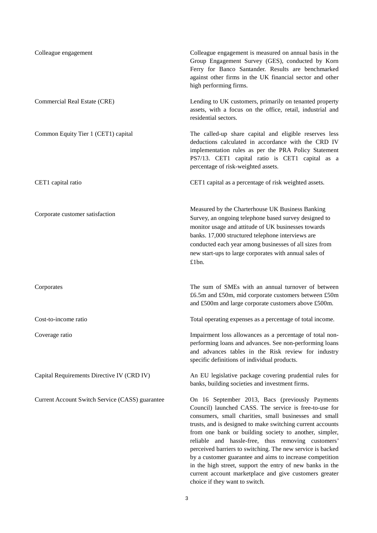| Colleague engagement                            | Colleague engagement is measured on annual basis in the<br>Group Engagement Survey (GES), conducted by Korn<br>Ferry for Banco Santander. Results are benchmarked<br>against other firms in the UK financial sector and other<br>high performing firms.                                                                                                                                                                                                                                                                                  |
|-------------------------------------------------|------------------------------------------------------------------------------------------------------------------------------------------------------------------------------------------------------------------------------------------------------------------------------------------------------------------------------------------------------------------------------------------------------------------------------------------------------------------------------------------------------------------------------------------|
| Commercial Real Estate (CRE)                    | Lending to UK customers, primarily on tenanted property<br>assets, with a focus on the office, retail, industrial and<br>residential sectors.                                                                                                                                                                                                                                                                                                                                                                                            |
| Common Equity Tier 1 (CET1) capital             | The called-up share capital and eligible reserves less<br>deductions calculated in accordance with the CRD IV<br>implementation rules as per the PRA Policy Statement<br>PS7/13. CET1 capital ratio is CET1 capital as a<br>percentage of risk-weighted assets.                                                                                                                                                                                                                                                                          |
| CET1 capital ratio                              | CET1 capital as a percentage of risk weighted assets.                                                                                                                                                                                                                                                                                                                                                                                                                                                                                    |
| Corporate customer satisfaction                 | Measured by the Charterhouse UK Business Banking<br>Survey, an ongoing telephone based survey designed to<br>monitor usage and attitude of UK businesses towards<br>banks. 17,000 structured telephone interviews are<br>conducted each year among businesses of all sizes from<br>new start-ups to large corporates with annual sales of<br>£1bn.                                                                                                                                                                                       |
| Corporates                                      | The sum of SMEs with an annual turnover of between<br>£6.5m and £50m, mid corporate customers between £50m<br>and £500m and large corporate customers above £500m.                                                                                                                                                                                                                                                                                                                                                                       |
| Cost-to-income ratio                            | Total operating expenses as a percentage of total income.                                                                                                                                                                                                                                                                                                                                                                                                                                                                                |
| Coverage ratio                                  | Impairment loss allowances as a percentage of total non-<br>performing loans and advances. See non-performing loans<br>and advances tables in the Risk review for industry<br>specific definitions of individual products.                                                                                                                                                                                                                                                                                                               |
| Capital Requirements Directive IV (CRD IV)      | An EU legislative package covering prudential rules for<br>banks, building societies and investment firms.                                                                                                                                                                                                                                                                                                                                                                                                                               |
| Current Account Switch Service (CASS) guarantee | On 16 September 2013, Bacs (previously Payments<br>Council) launched CASS. The service is free-to-use for<br>consumers, small charities, small businesses and small<br>trusts, and is designed to make switching current accounts<br>from one bank or building society to another, simpler,<br>reliable and hassle-free, thus removing customers'<br>perceived barriers to switching. The new service is backed<br>by a customer guarantee and aims to increase competition<br>in the high street, support the entry of new banks in the |

current account marketplace and give customers greater

choice if they want to switch.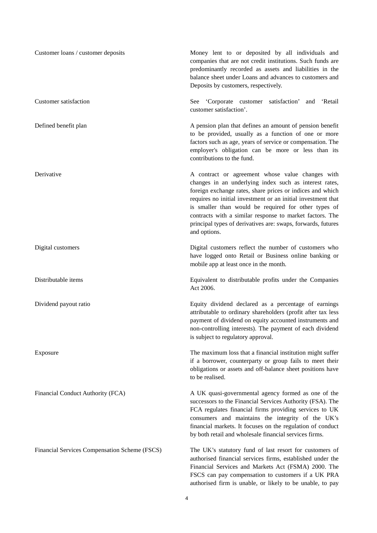| Customer loans / customer deposits            | Money lent to or deposited by all individuals and<br>companies that are not credit institutions. Such funds are<br>predominantly recorded as assets and liabilities in the<br>balance sheet under Loans and advances to customers and<br>Deposits by customers, respectively.                                                                                                                                                               |
|-----------------------------------------------|---------------------------------------------------------------------------------------------------------------------------------------------------------------------------------------------------------------------------------------------------------------------------------------------------------------------------------------------------------------------------------------------------------------------------------------------|
| Customer satisfaction                         | 'Corporate customer satisfaction'<br>'Retail<br>See<br>and<br>customer satisfaction'.                                                                                                                                                                                                                                                                                                                                                       |
| Defined benefit plan                          | A pension plan that defines an amount of pension benefit<br>to be provided, usually as a function of one or more<br>factors such as age, years of service or compensation. The<br>employer's obligation can be more or less than its<br>contributions to the fund.                                                                                                                                                                          |
| Derivative                                    | A contract or agreement whose value changes with<br>changes in an underlying index such as interest rates,<br>foreign exchange rates, share prices or indices and which<br>requires no initial investment or an initial investment that<br>is smaller than would be required for other types of<br>contracts with a similar response to market factors. The<br>principal types of derivatives are: swaps, forwards, futures<br>and options. |
| Digital customers                             | Digital customers reflect the number of customers who<br>have logged onto Retail or Business online banking or<br>mobile app at least once in the month.                                                                                                                                                                                                                                                                                    |
| Distributable items                           | Equivalent to distributable profits under the Companies<br>Act 2006.                                                                                                                                                                                                                                                                                                                                                                        |
| Dividend payout ratio                         | Equity dividend declared as a percentage of earnings<br>attributable to ordinary shareholders (profit after tax less<br>payment of dividend on equity accounted instruments and<br>non-controlling interests). The payment of each dividend<br>is subject to regulatory approval.                                                                                                                                                           |
| Exposure                                      | The maximum loss that a financial institution might suffer<br>if a borrower, counterparty or group fails to meet their<br>obligations or assets and off-balance sheet positions have<br>to be realised.                                                                                                                                                                                                                                     |
| Financial Conduct Authority (FCA)             | A UK quasi-governmental agency formed as one of the<br>successors to the Financial Services Authority (FSA). The<br>FCA regulates financial firms providing services to UK<br>consumers and maintains the integrity of the UK's<br>financial markets. It focuses on the regulation of conduct<br>by both retail and wholesale financial services firms.                                                                                     |
| Financial Services Compensation Scheme (FSCS) | The UK's statutory fund of last resort for customers of<br>authorised financial services firms, established under the<br>Financial Services and Markets Act (FSMA) 2000. The<br>FSCS can pay compensation to customers if a UK PRA<br>authorised firm is unable, or likely to be unable, to pay                                                                                                                                             |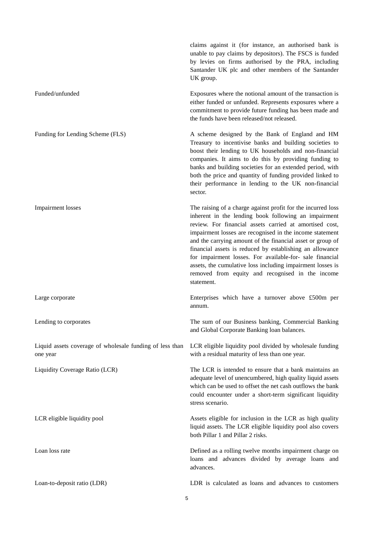claims against it (for instance, an authorised bank is unable to pay claims by depositors). The FSCS is funded by levies on firms authorised by the PRA, including Santander UK plc and other members of the Santander UK group. Funded/unfunded Exposures where the notional amount of the transaction is either funded or unfunded. Represents exposures where a commitment to provide future funding has been made and the funds have been released/not released. Funding for Lending Scheme (FLS) A scheme designed by the Bank of England and HM Treasury to incentivise banks and building societies to boost their lending to UK households and non-financial companies. It aims to do this by providing funding to banks and building societies for an extended period, with both the price and quantity of funding provided linked to their performance in lending to the UK non-financial sector. Impairment losses The raising of a charge against profit for the incurred loss inherent in the lending book following an impairment review. For financial assets carried at amortised cost, impairment losses are recognised in the income statement and the carrying amount of the financial asset or group of financial assets is reduced by establishing an allowance for impairment losses. For available-for- sale financial assets, the cumulative loss including impairment losses is removed from equity and recognised in the income statement. Large corporate Enterprises which have a turnover above £500m per annum. Lending to corporates The sum of our Business banking, Commercial Banking and Global Corporate Banking loan balances. Liquid assets coverage of wholesale funding of less than one year LCR eligible liquidity pool divided by wholesale funding with a residual maturity of less than one year. Liquidity Coverage Ratio (LCR) The LCR is intended to ensure that a bank maintains an adequate level of unencumbered, high quality liquid assets which can be used to offset the net cash outflows the bank could encounter under a short-term significant liquidity stress scenario. LCR eligible liquidity pool **Assets** eligible for inclusion in the LCR as high quality liquid assets. The LCR eligible liquidity pool also covers both Pillar 1 and Pillar 2 risks. Loan loss rate Defined as a rolling twelve months impairment charge on loans and advances divided by average loans and advances. Loan-to-deposit ratio (LDR) LDR is calculated as loans and advances to customers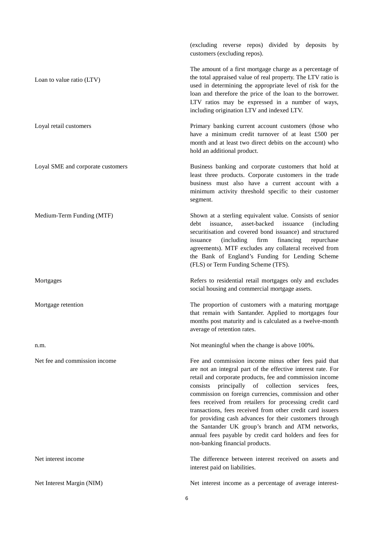(excluding reverse repos) divided by deposits by customers (excluding repos). Loan to value ratio (LTV) The amount of a first mortgage charge as a percentage of the total appraised value of real property. The LTV ratio is used in determining the appropriate level of risk for the loan and therefore the price of the loan to the borrower. LTV ratios may be expressed in a number of ways, including origination LTV and indexed LTV. Loyal retail customers Primary banking current account customers (those who have a minimum credit turnover of at least £500 per month and at least two direct debits on the account) who hold an additional product. Loyal SME and corporate customers Business banking and corporate customers that hold at least three products. Corporate customers in the trade business must also have a current account with a minimum activity threshold specific to their customer segment. Medium-Term Funding (MTF) Shown at a sterling equivalent value. Consists of senior debt issuance, asset-backed issuance (including securitisation and covered bond issuance) and structured issuance (including firm financing repurchase agreements). MTF excludes any collateral received from the Bank of England's Funding for Lending Scheme (FLS) or Term Funding Scheme (TFS). Mortgages **Refers** to residential retail mortgages only and excludes social housing and commercial mortgage assets. Mortgage retention The proportion of customers with a maturing mortgage that remain with Santander. Applied to mortgages four months post maturity and is calculated as a twelve-month average of retention rates. n.m. **n.m.** Not meaningful when the change is above 100%. Net fee and commission income Fee and commission income minus other fees paid that are not an integral part of the effective interest rate. For retail and corporate products, fee and commission income consists principally of collection services fees, commission on foreign currencies, commission and other fees received from retailers for processing credit card transactions, fees received from other credit card issuers for providing cash advances for their customers through the Santander UK group's branch and ATM networks, annual fees payable by credit card holders and fees for non-banking financial products. Net interest income The difference between interest received on assets and interest paid on liabilities. Net Interest Margin (NIM) Net interest income as a percentage of average interest-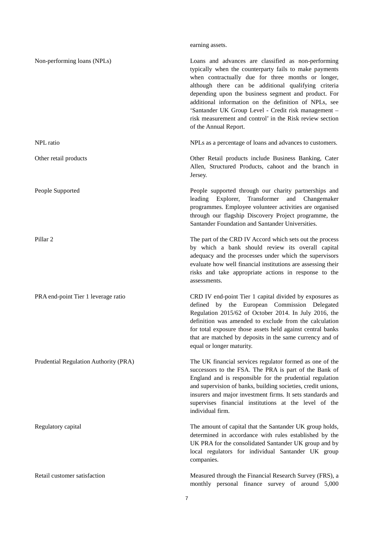## earning assets.

| Non-performing loans (NPLs)           | Loans and advances are classified as non-performing<br>typically when the counterparty fails to make payments<br>when contractually due for three months or longer,<br>although there can be additional qualifying criteria<br>depending upon the business segment and product. For<br>additional information on the definition of NPLs, see<br>'Santander UK Group Level - Credit risk management -<br>risk measurement and control' in the Risk review section<br>of the Annual Report. |
|---------------------------------------|-------------------------------------------------------------------------------------------------------------------------------------------------------------------------------------------------------------------------------------------------------------------------------------------------------------------------------------------------------------------------------------------------------------------------------------------------------------------------------------------|
| NPL ratio                             | NPLs as a percentage of loans and advances to customers.                                                                                                                                                                                                                                                                                                                                                                                                                                  |
| Other retail products                 | Other Retail products include Business Banking, Cater<br>Allen, Structured Products, cahoot and the branch in<br>Jersey.                                                                                                                                                                                                                                                                                                                                                                  |
| People Supported                      | People supported through our charity partnerships and<br>leading Explorer, Transformer<br>and<br>Changemaker<br>programmes. Employee volunteer activities are organised<br>through our flagship Discovery Project programme, the<br>Santander Foundation and Santander Universities.                                                                                                                                                                                                      |
| Pillar <sub>2</sub>                   | The part of the CRD IV Accord which sets out the process<br>by which a bank should review its overall capital<br>adequacy and the processes under which the supervisors<br>evaluate how well financial institutions are assessing their<br>risks and take appropriate actions in response to the<br>assessments.                                                                                                                                                                          |
| PRA end-point Tier 1 leverage ratio   | CRD IV end-point Tier 1 capital divided by exposures as<br>defined by the European Commission Delegated<br>Regulation 2015/62 of October 2014. In July 2016, the<br>definition was amended to exclude from the calculation<br>for total exposure those assets held against central banks<br>that are matched by deposits in the same currency and of<br>equal or longer maturity.                                                                                                         |
| Prudential Regulation Authority (PRA) | The UK financial services regulator formed as one of the<br>successors to the FSA. The PRA is part of the Bank of<br>England and is responsible for the prudential regulation<br>and supervision of banks, building societies, credit unions,<br>insurers and major investment firms. It sets standards and<br>supervises financial institutions at the level of the<br>individual firm.                                                                                                  |
| Regulatory capital                    | The amount of capital that the Santander UK group holds,<br>determined in accordance with rules established by the<br>UK PRA for the consolidated Santander UK group and by<br>local regulators for individual Santander UK group<br>companies.                                                                                                                                                                                                                                           |
| Retail customer satisfaction          | Measured through the Financial Research Survey (FRS), a<br>monthly personal finance survey of around 5,000                                                                                                                                                                                                                                                                                                                                                                                |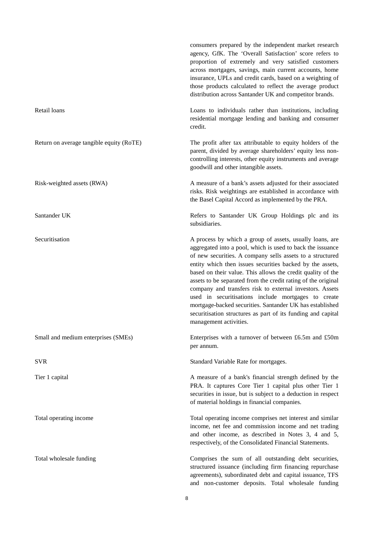|                                          | consumers prepared by the independent market research<br>agency, GfK. The 'Overall Satisfaction' score refers to<br>proportion of extremely and very satisfied customers<br>across mortgages, savings, main current accounts, home<br>insurance, UPLs and credit cards, based on a weighting of<br>those products calculated to reflect the average product<br>distribution across Santander UK and competitor brands.                                                                                                                                                                                                                                    |
|------------------------------------------|-----------------------------------------------------------------------------------------------------------------------------------------------------------------------------------------------------------------------------------------------------------------------------------------------------------------------------------------------------------------------------------------------------------------------------------------------------------------------------------------------------------------------------------------------------------------------------------------------------------------------------------------------------------|
| Retail loans                             | Loans to individuals rather than institutions, including<br>residential mortgage lending and banking and consumer<br>credit.                                                                                                                                                                                                                                                                                                                                                                                                                                                                                                                              |
| Return on average tangible equity (RoTE) | The profit after tax attributable to equity holders of the<br>parent, divided by average shareholders' equity less non-<br>controlling interests, other equity instruments and average<br>goodwill and other intangible assets.                                                                                                                                                                                                                                                                                                                                                                                                                           |
| Risk-weighted assets (RWA)               | A measure of a bank's assets adjusted for their associated<br>risks. Risk weightings are established in accordance with<br>the Basel Capital Accord as implemented by the PRA.                                                                                                                                                                                                                                                                                                                                                                                                                                                                            |
| Santander UK                             | Refers to Santander UK Group Holdings plc and its<br>subsidiaries.                                                                                                                                                                                                                                                                                                                                                                                                                                                                                                                                                                                        |
| Securitisation                           | A process by which a group of assets, usually loans, are<br>aggregated into a pool, which is used to back the issuance<br>of new securities. A company sells assets to a structured<br>entity which then issues securities backed by the assets,<br>based on their value. This allows the credit quality of the<br>assets to be separated from the credit rating of the original<br>company and transfers risk to external investors. Assets<br>used in securitisations include mortgages to create<br>mortgage-backed securities. Santander UK has established<br>securitisation structures as part of its funding and capital<br>management activities. |
| Small and medium enterprises (SMEs)      | Enterprises with a turnover of between £6.5m and £50m<br>per annum.                                                                                                                                                                                                                                                                                                                                                                                                                                                                                                                                                                                       |
| <b>SVR</b>                               | Standard Variable Rate for mortgages.                                                                                                                                                                                                                                                                                                                                                                                                                                                                                                                                                                                                                     |
| Tier 1 capital                           | A measure of a bank's financial strength defined by the<br>PRA. It captures Core Tier 1 capital plus other Tier 1<br>securities in issue, but is subject to a deduction in respect<br>of material holdings in financial companies.                                                                                                                                                                                                                                                                                                                                                                                                                        |
| Total operating income                   | Total operating income comprises net interest and similar<br>income, net fee and commission income and net trading<br>and other income, as described in Notes 3, 4 and 5,<br>respectively, of the Consolidated Financial Statements.                                                                                                                                                                                                                                                                                                                                                                                                                      |
| Total wholesale funding                  | Comprises the sum of all outstanding debt securities,<br>structured issuance (including firm financing repurchase<br>agreements), subordinated debt and capital issuance, TFS<br>and non-customer deposits. Total wholesale funding                                                                                                                                                                                                                                                                                                                                                                                                                       |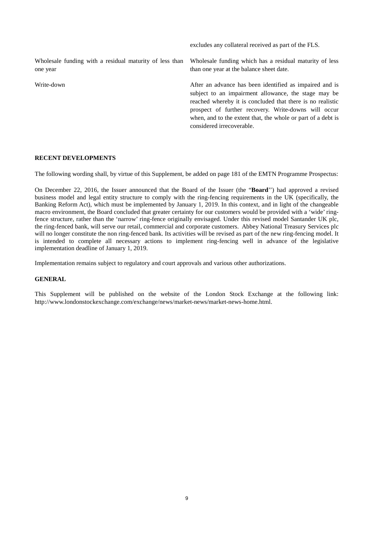excludes any collateral received as part of the FLS. Wholesale funding with a residual maturity of less than one year Wholesale funding which has a residual maturity of less than one year at the balance sheet date. Write-down **After an advance has been identified as impaired and is** After an advance has been identified as impaired and is subject to an impairment allowance, the stage may be reached whereby it is concluded that there is no realistic prospect of further recovery. Write-downs will occur when, and to the extent that, the whole or part of a debt is considered irrecoverable.

#### **RECENT DEVELOPMENTS**

The following wording shall, by virtue of this Supplement, be added on page 181 of the EMTN Programme Prospectus:

On December 22, 2016, the Issuer announced that the Board of the Issuer (the "**Board**'') had approved a revised business model and legal entity structure to comply with the ring-fencing requirements in the UK (specifically, the Banking Reform Act), which must be implemented by January 1, 2019. In this context, and in light of the changeable macro environment, the Board concluded that greater certainty for our customers would be provided with a 'wide' ringfence structure, rather than the 'narrow' ring-fence originally envisaged. Under this revised model Santander UK plc, the ring-fenced bank, will serve our retail, commercial and corporate customers. Abbey National Treasury Services plc will no longer constitute the non ring-fenced bank. Its activities will be revised as part of the new ring-fencing model. It is intended to complete all necessary actions to implement ring-fencing well in advance of the legislative implementation deadline of January 1, 2019.

Implementation remains subject to regulatory and court approvals and various other authorizations.

### **GENERAL**

This Supplement will be published on the website of the London Stock Exchange at the following link: http://www.londonstockexchange.com/exchange/news/market-news/market-news-home.html.